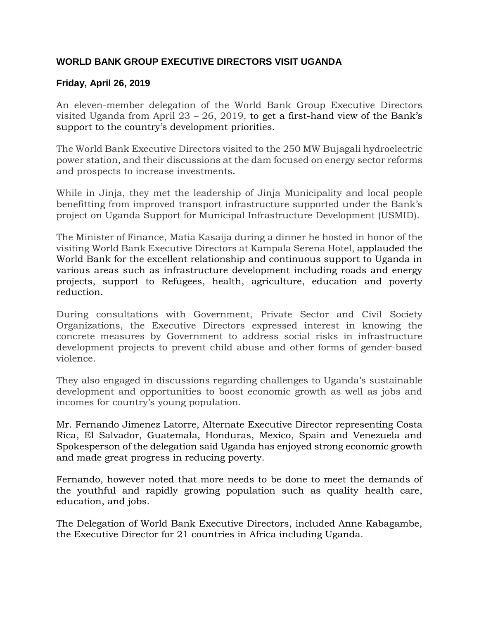## **WORLD BANK GROUP EXECUTIVE DIRECTORS VISIT UGANDA**

## **Friday, April 26, 2019**

An eleven-member delegation of the World Bank Group Executive Directors visited Uganda from April  $23 - 26$ , 2019, to get a first-hand view of the Bank's support to the country's development priorities.

The World Bank Executive Directors visited to the 250 MW Bujagali hydroelectric power station, and their discussions at the dam focused on energy sector reforms and prospects to increase investments.

While in Jinja, they met the leadership of Jinja Municipality and local people benefitting from improved transport infrastructure supported under the Bank's project on Uganda Support for Municipal Infrastructure Development (USMID).

The Minister of Finance, Matia Kasaija during a dinner he hosted in honor of the visiting World Bank Executive Directors at Kampala Serena Hotel, applauded the World Bank for the excellent relationship and continuous support to Uganda in various areas such as infrastructure development including roads and energy projects, support to Refugees, health, agriculture, education and poverty reduction.

During consultations with Government, Private Sector and Civil Society Organizations, the Executive Directors expressed interest in knowing the concrete measures by Government to address social risks in infrastructure development projects to prevent child abuse and other forms of gender-based violence.

They also engaged in discussions regarding challenges to Uganda's sustainable development and opportunities to boost economic growth as well as jobs and incomes for country's young population.

Mr. Fernando Jimenez Latorre, Alternate Executive Director representing Costa Rica, El Salvador, Guatemala, Honduras, Mexico, Spain and Venezuela and Spokesperson of the delegation said Uganda has enjoyed strong economic growth and made great progress in reducing poverty.

Fernando, however noted that more needs to be done to meet the demands of the youthful and rapidly growing population such as quality health care, education, and jobs.

The Delegation of World Bank Executive Directors, included Anne Kabagambe, the Executive Director for 21 countries in Africa including Uganda.